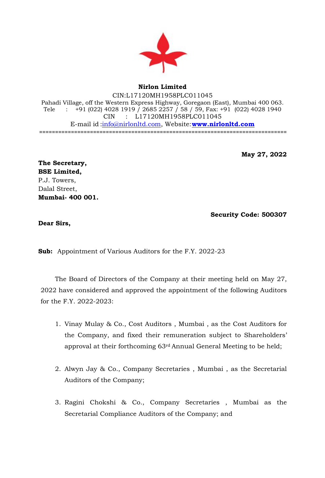

## **Nirlon Limited**

CIN:L17120MH1958PLC011045 Pahadi Village, off the Western Express Highway, Goregaon (East), Mumbai 400 063. Tele : +91 (022) 4028 1919 / 2685 2257 / 58 / 59, Fax: +91 (022) 4028 1940 CIN : L17120MH1958PLC011045 E-mail id [:info@nirlonltd.com,](mailto:info@nirlonltd.com) Website:**[www.nirlonltd.com](http://www.nirlonltd.com/)** ==============================================================================

**May 27, 2022**

**The Secretary, BSE Limited,** P.J. Towers, Dalal Street, **Mumbai- 400 001.** 

**Security Code: 500307**

**Dear Sirs,**

**Sub:** Appointment of Various Auditors for the F.Y. 2022-23

The Board of Directors of the Company at their meeting held on May 27, 2022 have considered and approved the appointment of the following Auditors for the F.Y. 2022-2023:

- 1. Vinay Mulay & Co., Cost Auditors , Mumbai , as the Cost Auditors for the Company, and fixed their remuneration subject to Shareholders' approval at their forthcoming 63rd Annual General Meeting to be held;
- 2. Alwyn Jay & Co., Company Secretaries , Mumbai , as the Secretarial Auditors of the Company;
- 3. Ragini Chokshi & Co., Company Secretaries , Mumbai as the Secretarial Compliance Auditors of the Company; and